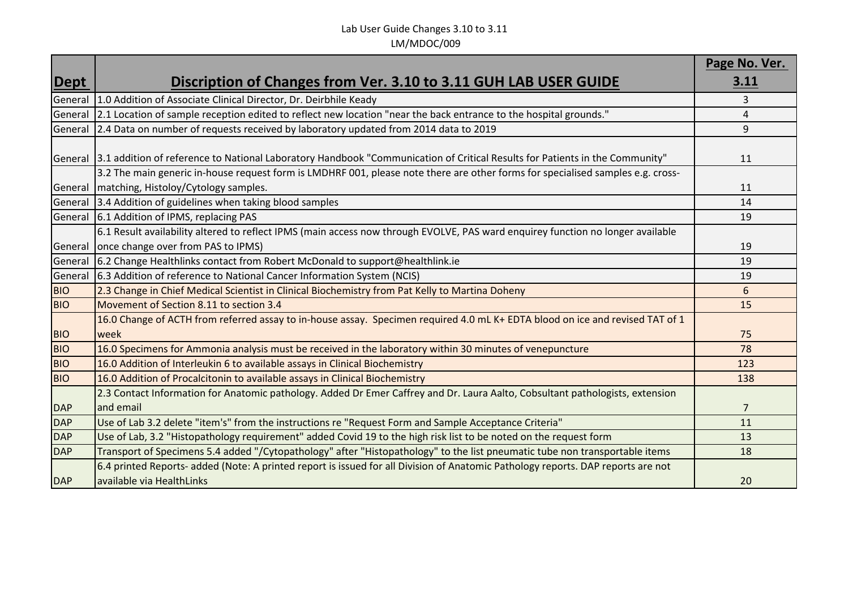|            |                                                                                                                                                               | Page No. Ver.  |
|------------|---------------------------------------------------------------------------------------------------------------------------------------------------------------|----------------|
| Dept       | Discription of Changes from Ver. 3.10 to 3.11 GUH LAB USER GUIDE                                                                                              | 3.11           |
| General    | 1.0 Addition of Associate Clinical Director, Dr. Deirbhile Keady                                                                                              | 3              |
| General    | 2.1 Location of sample reception edited to reflect new location "near the back entrance to the hospital grounds."                                             | 4              |
| General    | 2.4 Data on number of requests received by laboratory updated from 2014 data to 2019                                                                          | 9              |
|            | General 3.1 addition of reference to National Laboratory Handbook "Communication of Critical Results for Patients in the Community"                           | 11             |
|            | 3.2 The main generic in-house request form is LMDHRF 001, please note there are other forms for specialised samples e.g. cross-                               |                |
|            | General   matching, Histoloy/Cytology samples.                                                                                                                | 11             |
|            | General 3.4 Addition of guidelines when taking blood samples                                                                                                  | 14             |
|            | General 6.1 Addition of IPMS, replacing PAS                                                                                                                   | 19             |
|            | 6.1 Result availability altered to reflect IPMS (main access now through EVOLVE, PAS ward enquirey function no longer available                               |                |
| General    | once change over from PAS to IPMS)                                                                                                                            | 19             |
| General    | 6.2 Change Healthlinks contact from Robert McDonald to support@healthlink.ie                                                                                  | 19             |
| General    | 6.3 Addition of reference to National Cancer Information System (NCIS)                                                                                        | 19             |
| <b>BIO</b> | 2.3 Change in Chief Medical Scientist in Clinical Biochemistry from Pat Kelly to Martina Doheny                                                               | 6              |
| <b>BIO</b> | Movement of Section 8.11 to section 3.4                                                                                                                       | 15             |
| <b>BIO</b> | 16.0 Change of ACTH from referred assay to in-house assay. Specimen required 4.0 mL K+ EDTA blood on ice and revised TAT of 1<br>week                         | 75             |
| <b>BIO</b> | 16.0 Specimens for Ammonia analysis must be received in the laboratory within 30 minutes of venepuncture                                                      | 78             |
| <b>BIO</b> | 16.0 Addition of Interleukin 6 to available assays in Clinical Biochemistry                                                                                   | 123            |
| <b>BIO</b> | 16.0 Addition of Procalcitonin to available assays in Clinical Biochemistry                                                                                   | 138            |
|            | 2.3 Contact Information for Anatomic pathology. Added Dr Emer Caffrey and Dr. Laura Aalto, Cobsultant pathologists, extension                                 |                |
| <b>DAP</b> | and email                                                                                                                                                     | $\overline{7}$ |
| <b>DAP</b> | Use of Lab 3.2 delete "item's" from the instructions re "Request Form and Sample Acceptance Criteria"                                                         | 11             |
| <b>DAP</b> | Use of Lab, 3.2 "Histopathology requirement" added Covid 19 to the high risk list to be noted on the request form                                             | 13             |
| <b>DAP</b> | Transport of Specimens 5.4 added "/Cytopathology" after "Histopathology" to the list pneumatic tube non transportable items                                   | 18             |
| <b>DAP</b> | 6.4 printed Reports- added (Note: A printed report is issued for all Division of Anatomic Pathology reports. DAP reports are not<br>available via HealthLinks | 20             |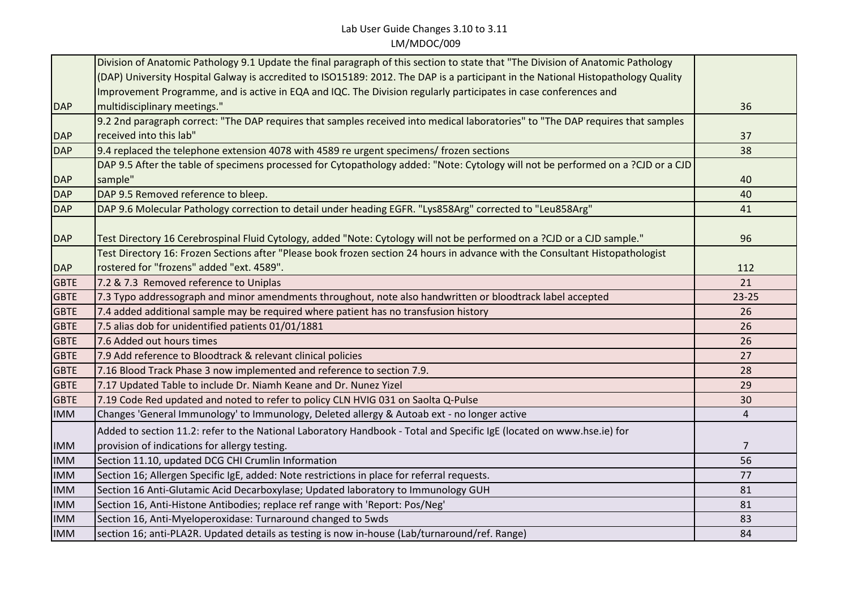|             | Division of Anatomic Pathology 9.1 Update the final paragraph of this section to state that "The Division of Anatomic Pathology   |           |
|-------------|-----------------------------------------------------------------------------------------------------------------------------------|-----------|
|             | (DAP) University Hospital Galway is accredited to ISO15189: 2012. The DAP is a participant in the National Histopathology Quality |           |
|             | Improvement Programme, and is active in EQA and IQC. The Division regularly participates in case conferences and                  |           |
| <b>DAP</b>  | multidisciplinary meetings."                                                                                                      | 36        |
|             | 9.2 2nd paragraph correct: "The DAP requires that samples received into medical laboratories" to "The DAP requires that samples   |           |
| <b>DAP</b>  | received into this lab"                                                                                                           | 37        |
| <b>DAP</b>  | 9.4 replaced the telephone extension 4078 with 4589 re urgent specimens/ frozen sections                                          | 38        |
|             | DAP 9.5 After the table of specimens processed for Cytopathology added: "Note: Cytology will not be performed on a ?CJD or a CJD  |           |
| <b>DAP</b>  | sample"                                                                                                                           | 40        |
| <b>DAP</b>  | DAP 9.5 Removed reference to bleep.                                                                                               | 40        |
| <b>DAP</b>  | DAP 9.6 Molecular Pathology correction to detail under heading EGFR. "Lys858Arg" corrected to "Leu858Arg"                         | 41        |
|             |                                                                                                                                   |           |
| <b>DAP</b>  | Test Directory 16 Cerebrospinal Fluid Cytology, added "Note: Cytology will not be performed on a ?CJD or a CJD sample."           | 96        |
|             | Test Directory 16: Frozen Sections after "Please book frozen section 24 hours in advance with the Consultant Histopathologist     |           |
| <b>DAP</b>  | rostered for "frozens" added "ext. 4589".                                                                                         | 112       |
| <b>GBTE</b> | 7.2 & 7.3 Removed reference to Uniplas                                                                                            | 21        |
| <b>GBTE</b> | 7.3 Typo addressograph and minor amendments throughout, note also handwritten or bloodtrack label accepted                        | $23 - 25$ |
| <b>GBTE</b> | 7.4 added additional sample may be required where patient has no transfusion history                                              | 26        |
| <b>GBTE</b> | 7.5 alias dob for unidentified patients 01/01/1881                                                                                | 26        |
| <b>GBTE</b> | 7.6 Added out hours times                                                                                                         | 26        |
| <b>GBTE</b> | 7.9 Add reference to Bloodtrack & relevant clinical policies                                                                      | 27        |
| <b>GBTE</b> | 7.16 Blood Track Phase 3 now implemented and reference to section 7.9.                                                            | 28        |
| <b>GBTE</b> | 7.17 Updated Table to include Dr. Niamh Keane and Dr. Nunez Yizel                                                                 | 29        |
| <b>GBTE</b> | 7.19 Code Red updated and noted to refer to policy CLN HVIG 031 on Saolta Q-Pulse                                                 | 30        |
| <b>IMM</b>  | Changes 'General Immunology' to Immunology, Deleted allergy & Autoab ext - no longer active                                       | 4         |
|             | Added to section 11.2: refer to the National Laboratory Handbook - Total and Specific IgE (located on www.hse.ie) for             |           |
| <b>IMM</b>  | provision of indications for allergy testing.                                                                                     | 7         |
| <b>IMM</b>  | Section 11.10, updated DCG CHI Crumlin Information                                                                                | 56        |
| <b>IMM</b>  | Section 16; Allergen Specific IgE, added: Note restrictions in place for referral requests.                                       | 77        |
| <b>IMM</b>  | Section 16 Anti-Glutamic Acid Decarboxylase; Updated laboratory to Immunology GUH                                                 | 81        |
| <b>IMM</b>  | Section 16, Anti-Histone Antibodies; replace ref range with 'Report: Pos/Neg'                                                     | 81        |
| <b>IMM</b>  | Section 16, Anti-Myeloperoxidase: Turnaround changed to 5wds                                                                      | 83        |
| <b>IMM</b>  | section 16; anti-PLA2R. Updated details as testing is now in-house (Lab/turnaround/ref. Range)                                    | 84        |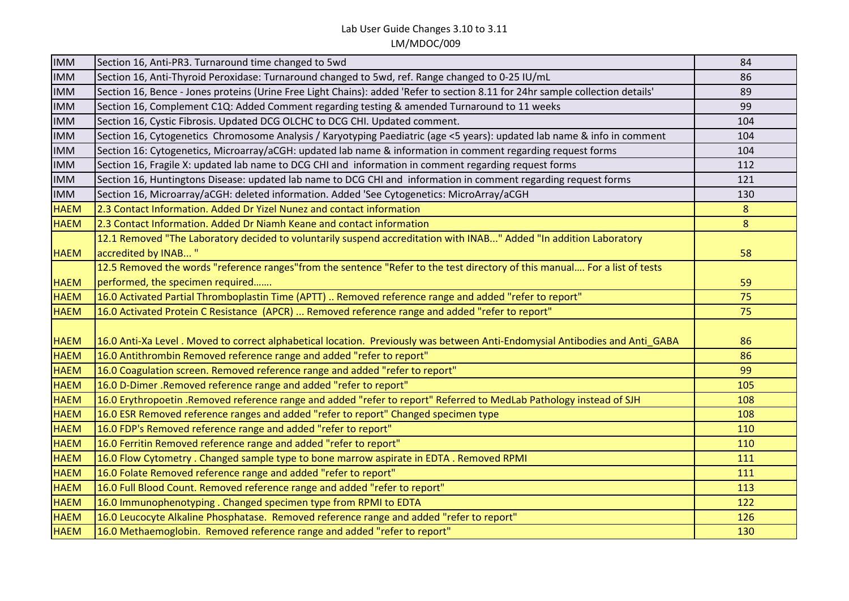| <b>IMM</b>  | Section 16, Anti-PR3. Turnaround time changed to 5wd                                                                           | 84  |
|-------------|--------------------------------------------------------------------------------------------------------------------------------|-----|
| <b>IMM</b>  | Section 16, Anti-Thyroid Peroxidase: Turnaround changed to 5wd, ref. Range changed to 0-25 IU/mL                               | 86  |
| <b>IMM</b>  | Section 16, Bence - Jones proteins (Urine Free Light Chains): added 'Refer to section 8.11 for 24hr sample collection details' | 89  |
| <b>IMM</b>  | Section 16, Complement C1Q: Added Comment regarding testing & amended Turnaround to 11 weeks                                   | 99  |
| <b>IMM</b>  | Section 16, Cystic Fibrosis. Updated DCG OLCHC to DCG CHI. Updated comment.                                                    | 104 |
| <b>IMM</b>  | Section 16, Cytogenetics Chromosome Analysis / Karyotyping Paediatric (age <5 years): updated lab name & info in comment       | 104 |
| <b>IMM</b>  | Section 16: Cytogenetics, Microarray/aCGH: updated lab name & information in comment regarding request forms                   | 104 |
| <b>IMM</b>  | Section 16, Fragile X: updated lab name to DCG CHI and information in comment regarding request forms                          | 112 |
| <b>IMM</b>  | Section 16, Huntingtons Disease: updated lab name to DCG CHI and information in comment regarding request forms                | 121 |
| <b>IMM</b>  | Section 16, Microarray/aCGH: deleted information. Added 'See Cytogenetics: MicroArray/aCGH                                     | 130 |
| <b>HAEM</b> | 2.3 Contact Information. Added Dr Yizel Nunez and contact information                                                          | 8   |
| <b>HAEM</b> | 2.3 Contact Information. Added Dr Niamh Keane and contact information                                                          | 8   |
|             | 12.1 Removed "The Laboratory decided to voluntarily suspend accreditation with INAB" Added "In addition Laboratory             |     |
| <b>HAEM</b> | accredited by INAB"                                                                                                            | 58  |
|             | 12.5 Removed the words "reference ranges" from the sentence "Refer to the test directory of this manual For a list of tests    |     |
| <b>HAEM</b> | performed, the specimen required                                                                                               | 59  |
| <b>HAEM</b> | 16.0 Activated Partial Thromboplastin Time (APTT)  Removed reference range and added "refer to report"                         | 75  |
| <b>HAEM</b> | 16.0 Activated Protein C Resistance (APCR)  Removed reference range and added "refer to report"                                | 75  |
|             |                                                                                                                                |     |
| <b>HAEM</b> | 16.0 Anti-Xa Level. Moved to correct alphabetical location. Previously was between Anti-Endomysial Antibodies and Anti_GABA    | 86  |
| <b>HAEM</b> | 16.0 Antithrombin Removed reference range and added "refer to report"                                                          | 86  |
| <b>HAEM</b> | 16.0 Coagulation screen. Removed reference range and added "refer to report"                                                   | 99  |
| <b>HAEM</b> | 16.0 D-Dimer. Removed reference range and added "refer to report"                                                              | 105 |
| <b>HAEM</b> | 16.0 Erythropoetin .Removed reference range and added "refer to report" Referred to MedLab Pathology instead of SJH            | 108 |
| <b>HAEM</b> | 16.0 ESR Removed reference ranges and added "refer to report" Changed specimen type                                            | 108 |
| <b>HAEM</b> | 16.0 FDP's Removed reference range and added "refer to report"                                                                 | 110 |
| <b>HAEM</b> | 16.0 Ferritin Removed reference range and added "refer to report"                                                              | 110 |
| <b>HAEM</b> | 16.0 Flow Cytometry . Changed sample type to bone marrow aspirate in EDTA . Removed RPMI                                       | 111 |
| <b>HAEM</b> | 16.0 Folate Removed reference range and added "refer to report"                                                                | 111 |
| <b>HAEM</b> | 16.0 Full Blood Count. Removed reference range and added "refer to report"                                                     | 113 |
| <b>HAEM</b> | 16.0 Immunophenotyping. Changed specimen type from RPMI to EDTA                                                                | 122 |
| <b>HAEM</b> | 16.0 Leucocyte Alkaline Phosphatase. Removed reference range and added "refer to report"                                       | 126 |
| <b>HAEM</b> | 16.0 Methaemoglobin. Removed reference range and added "refer to report"                                                       | 130 |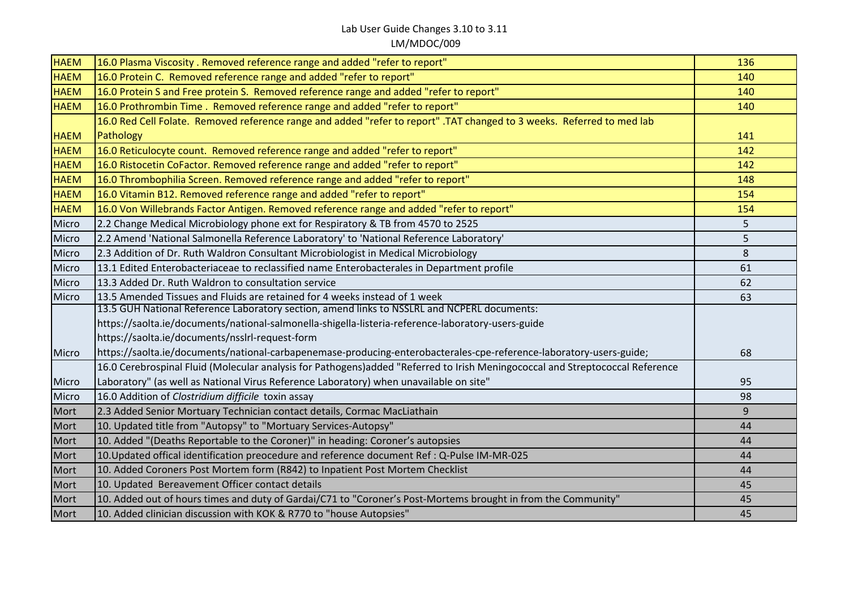| <b>HAEM</b> | 16.0 Plasma Viscosity. Removed reference range and added "refer to report"                                                    | 136 |
|-------------|-------------------------------------------------------------------------------------------------------------------------------|-----|
| <b>HAEM</b> | 16.0 Protein C. Removed reference range and added "refer to report"                                                           | 140 |
| <b>HAEM</b> | 16.0 Protein S and Free protein S. Removed reference range and added "refer to report"                                        | 140 |
| <b>HAEM</b> | 16.0 Prothrombin Time. Removed reference range and added "refer to report"                                                    | 140 |
|             | 16.0 Red Cell Folate. Removed reference range and added "refer to report".TAT changed to 3 weeks. Referred to med lab         |     |
| <b>HAEM</b> | Pathology                                                                                                                     | 141 |
| <b>HAEM</b> | 16.0 Reticulocyte count. Removed reference range and added "refer to report"                                                  | 142 |
| <b>HAEM</b> | 16.0 Ristocetin CoFactor. Removed reference range and added "refer to report"                                                 | 142 |
| <b>HAEM</b> | 16.0 Thrombophilia Screen. Removed reference range and added "refer to report"                                                | 148 |
| <b>HAEM</b> | 16.0 Vitamin B12. Removed reference range and added "refer to report"                                                         | 154 |
| <b>HAEM</b> | 16.0 Von Willebrands Factor Antigen. Removed reference range and added "refer to report"                                      | 154 |
| Micro       | 2.2 Change Medical Microbiology phone ext for Respiratory & TB from 4570 to 2525                                              | 5   |
| Micro       | 2.2 Amend 'National Salmonella Reference Laboratory' to 'National Reference Laboratory'                                       | 5   |
| Micro       | 2.3 Addition of Dr. Ruth Waldron Consultant Microbiologist in Medical Microbiology                                            | 8   |
| Micro       | 13.1 Edited Enterobacteriaceae to reclassified name Enterobacterales in Department profile                                    | 61  |
| Micro       | 13.3 Added Dr. Ruth Waldron to consultation service                                                                           | 62  |
| Micro       | 13.5 Amended Tissues and Fluids are retained for 4 weeks instead of 1 week                                                    | 63  |
|             | 13.5 GUH National Reference Laboratory section, amend links to NSSLRL and NCPERL documents:                                   |     |
|             | https://saolta.ie/documents/national-salmonella-shigella-listeria-reference-laboratory-users-guide                            |     |
|             | https://saolta.ie/documents/nsslrl-request-form                                                                               |     |
| Micro       | https://saolta.ie/documents/national-carbapenemase-producing-enterobacterales-cpe-reference-laboratory-users-guide;           | 68  |
|             | 16.0 Cerebrospinal Fluid (Molecular analysis for Pathogens)added "Referred to Irish Meningococcal and Streptococcal Reference |     |
| Micro       | Laboratory" (as well as National Virus Reference Laboratory) when unavailable on site"                                        | 95  |
| Micro       | 16.0 Addition of Clostridium difficile toxin assay                                                                            | 98  |
| Mort        | 2.3 Added Senior Mortuary Technician contact details, Cormac MacLiathain                                                      | 9   |
| Mort        | 10. Updated title from "Autopsy" to "Mortuary Services-Autopsy"                                                               | 44  |
| Mort        | 10. Added "(Deaths Reportable to the Coroner)" in heading: Coroner's autopsies                                                | 44  |
| Mort        | 10. Updated offical identification preocedure and reference document Ref : Q-Pulse IM-MR-025                                  | 44  |
| Mort        | 10. Added Coroners Post Mortem form (R842) to Inpatient Post Mortem Checklist                                                 | 44  |
| Mort        | 10. Updated Bereavement Officer contact details                                                                               | 45  |
| Mort        | 10. Added out of hours times and duty of Gardai/C71 to "Coroner's Post-Mortems brought in from the Community"                 | 45  |
| Mort        | 10. Added clinician discussion with KOK & R770 to "house Autopsies"                                                           | 45  |